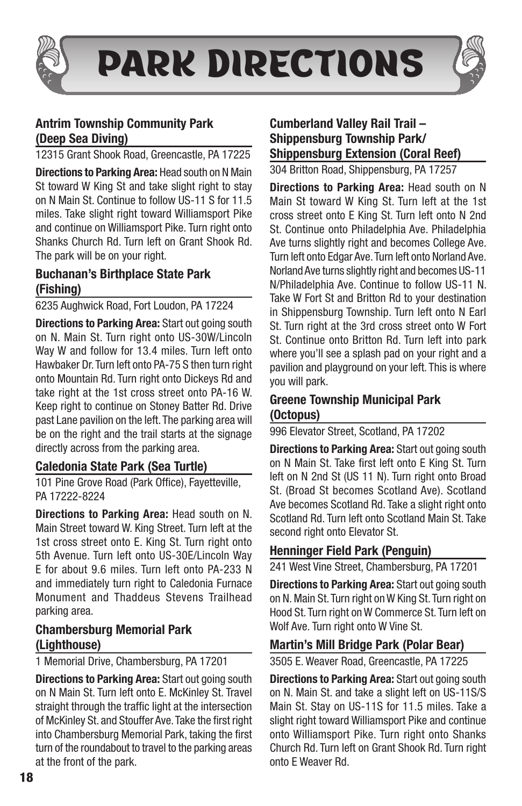

PARK DIRECTIONS

# Antrim Township Community Park (Deep Sea Diving)

12315 Grant Shook Road, Greencastle, PA 17225

Directions to Parking Area: Head south on N Main St toward W King St and take slight right to stay on N Main St. Continue to follow US-11 S for 11.5 miles. Take slight right toward Williamsport Pike and continue on Williamsport Pike. Turn right onto Shanks Church Rd. Turn left on Grant Shook Rd. The park will be on your right.

## Buchanan's Birthplace State Park (Fishing)

6235 Aughwick Road, Fort Loudon, PA 17224

**Directions to Parking Area: Start out going south** on N. Main St. Turn right onto US-30W/Lincoln Way W and follow for 13.4 miles. Turn left onto Hawbaker Dr. Turn left onto PA-75 S then turn right onto Mountain Rd. Turn right onto Dickeys Rd and take right at the 1st cross street onto PA-16 W. Keep right to continue on Stoney Batter Rd. Drive past Lane pavilion on the left. The parking area will be on the right and the trail starts at the signage directly across from the parking area.

#### Caledonia State Park (Sea Turtle)

101 Pine Grove Road (Park Office), Fayetteville, PA 17222-8224

Directions to Parking Area: Head south on N. Main Street toward W. King Street. Turn left at the 1st cross street onto E. King St. Turn right onto 5th Avenue. Turn left onto US-30E/Lincoln Way E for about 9.6 miles. Turn left onto PA-233 N and immediately turn right to Caledonia Furnace Monument and Thaddeus Stevens Trailhead parking area.

### Chambersburg Memorial Park (Lighthouse)

1 Memorial Drive, Chambersburg, PA 17201

**Directions to Parking Area: Start out going south** on N Main St. Turn left onto E. McKinley St. Travel straight through the traffic light at the intersection of McKinley St. and Stouffer Ave. Take the first right into Chambersburg Memorial Park, taking the first turn of the roundabout to travel to the parking areas at the front of the park.

# Cumberland Valley Rail Trail – Shippensburg Township Park/ Shippensburg Extension (Coral Reef)

304 Britton Road, Shippensburg, PA 17257

Directions to Parking Area: Head south on N Main St toward W King St. Turn left at the 1st cross street onto E King St. Turn left onto N 2nd St. Continue onto Philadelphia Ave. Philadelphia Ave turns slightly right and becomes College Ave. Turn left onto Edgar Ave. Turn left onto Norland Ave. Norland Ave turns slightly right and becomes US-11 N/Philadelphia Ave. Continue to follow US-11 N. Take W Fort St and Britton Rd to your destination in Shippensburg Township. Turn left onto N Earl St. Turn right at the 3rd cross street onto W Fort St. Continue onto Britton Rd. Turn left into park where you'll see a splash pad on your right and a pavilion and playground on your left. This is where you will park.

### Greene Township Municipal Park (Octopus)

996 Elevator Street, Scotland, PA 17202

**Directions to Parking Area: Start out going south** on N Main St. Take first left onto E King St. Turn left on N 2nd St (US 11 N). Turn right onto Broad St. (Broad St becomes Scotland Ave). Scotland Ave becomes Scotland Rd. Take a slight right onto Scotland Rd. Turn left onto Scotland Main St. Take second right onto Elevator St.

## Henninger Field Park (Penguin)

241 West Vine Street, Chambersburg, PA 17201

Directions to Parking Area: Start out going south on N. Main St. Turn right on W King St. Turn right on Hood St. Turn right on W Commerce St. Turn left on Wolf Ave. Turn right onto W Vine St.

#### Martin's Mill Bridge Park (Polar Bear)

3505 E. Weaver Road, Greencastle, PA 17225

**Directions to Parking Area: Start out going south** on N. Main St. and take a slight left on US-11S/S Main St. Stay on US-11S for 11.5 miles. Take a slight right toward Williamsport Pike and continue onto Williamsport Pike. Turn right onto Shanks Church Rd. Turn left on Grant Shook Rd. Turn right onto E Weaver Rd.